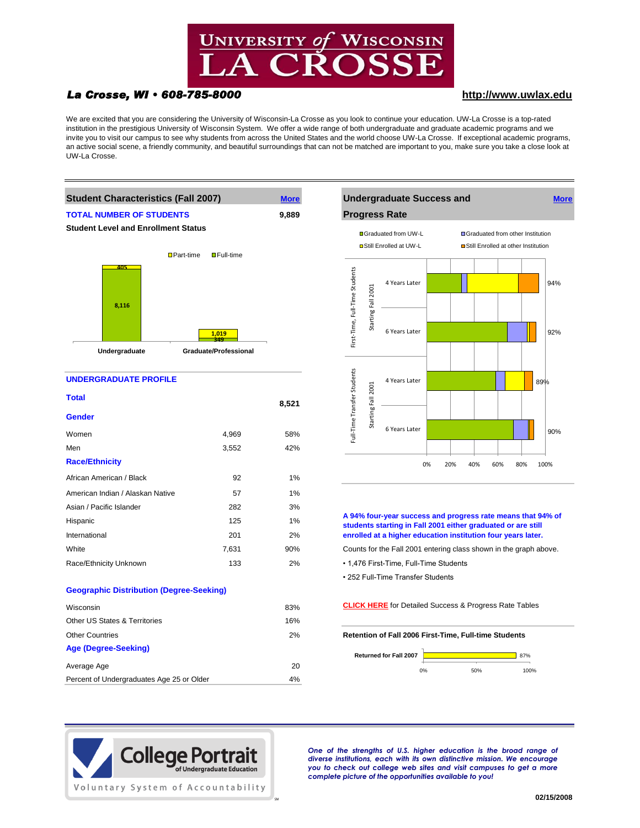

# *La Crosse, WI • 608-785-8000* **[http://www](http://www.uwlax.edu/).uwlax.edu**

We are excited that you are considering the University of Wisconsin-La Crosse as you look to continue your education. UW-La Crosse is a top-rated institution in the prestigious University of Wisconsin System. We offer a wide range of both undergraduate and graduate academic programs and we invite you to visit our campus to see why students from across the United States and the world choose UW-La Crosse. If exceptional academic programs, an active social scene, a friendly community, and beautiful surroundings that can not be matched are important to you, make sure you take a close look at UW-La Crosse.

**8,521**



Women 58% Men 3,552 42%

African American / Black 92 1% American Indian / Alaskan Native 57 1% Asian / Pacific Islander 282 282 Hispanic 125 1% International 201 2%

Other US States & Territories 16%

Average Age 20 Percent of Undergraduates Age 25 or Older 4%

**Geographic Distribution (Degree-Seeking)**

**Age (Degree-Seeking)**

**Total**

**Gender**

**Race/Ethnicity**



**A 94% four-year success and progress rate means that 94% of students starting in Fall 2001 either graduated or are still enrolled at a higher education institution four years later.**

- White T,631 90% Counts for the Fall 2001 entering class shown in the graph above.
- Race/Ethnicity Unknown 133 133 12% 1,476 First-Time, Full-Time Students
	- 252 Full-Time Transfer Students

Wisconsin 83% **[CLICK HERE](http://www.uwlax.edu/provost/universitydata/NSC_Table.pdf)** [for Detailed Success & Progress Rate Tables](http://www.uwlax.edu/provost/universitydata/NSC_Table.pdf)

Other Countries 2% **Retention of Fall 2006 First-Time, Full-time Students**





*One of the strengths of U.S. higher education is the broad range of diverse institutions, each with its own distinctive mission. We encourage you to check out college web sites and visit campuses to get a more complete picture of the opportunities available to you!*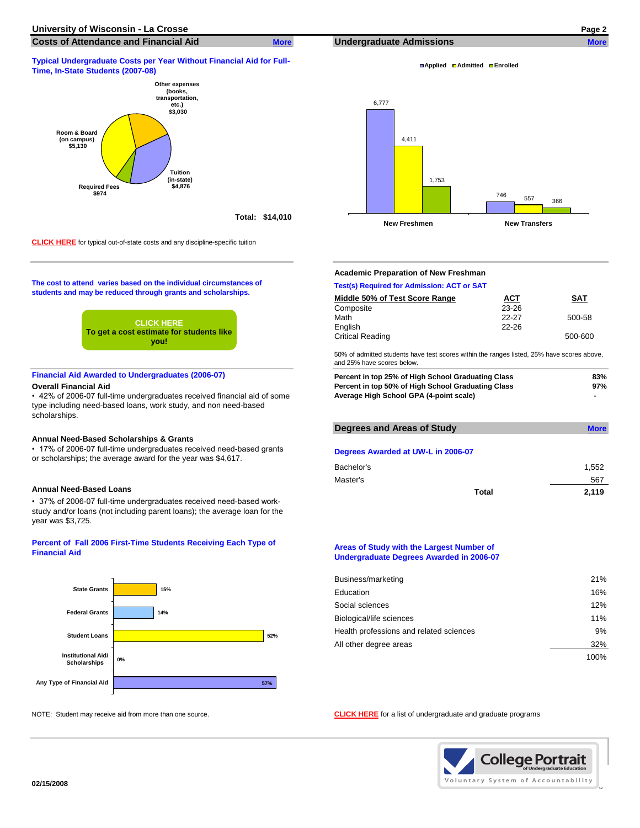## **Typical Undergraduate Costs per Year Without Financial Aid for Full-Time, In-State Students (2007-08)**



**[CLICK HERE](http://www.uwlax.edu/admissions/html/afford.htm)** [for typical out-of-state costs and any discipline-specific tuition](http://www.uwlax.edu/admissions/html/afford.htm)

**The cost to attend varies based on the individual circumstances of students and may be reduced through grants and scholarships.**



## **Financial Aid Awarded to Undergraduates (2006-07)**

### **Overall Financial Aid**

• 42% of 2006-07 full-time undergraduates received financial aid of some type including need-based loans, work study, and non need-based scholarships.

### **Annual Need-Based Scholarships & Grants**

• 37% of 2006-07 full-time undergraduates received need-based workstudy and/or loans (not including parent loans); the average loan for the year was \$3,725.

## **Percent of Fall 2006 First-Time Students Receiving Each Type of Financial Aid**



**Applied Admitted Enrolled**



## **Academic Preparation of New Freshman**

## **Test(s) Required for Admission: ACT or SAT Middle 50% of Test Score Range ACT SAT** Composite 23-26 Math 22-27 500-58 English 22-26 Critical Reading 500-600

50% of admitted students have test scores within the ranges listed, 25% have scores above, and 25% have scores below.

| Percent in top 25% of High School Graduating Class | 83% |
|----------------------------------------------------|-----|
| Percent in top 50% of High School Graduating Class | 97% |
| Average High School GPA (4-point scale)            |     |

|                                                                                                                                      | Degrees and Areas of Study         | <b>More</b> |  |
|--------------------------------------------------------------------------------------------------------------------------------------|------------------------------------|-------------|--|
| Annual Need-Based Scholarships & Grants                                                                                              |                                    |             |  |
| • 17% of 2006-07 full-time undergraduates received need-based grants<br>or scholarships; the average award for the year was \$4,617. | Degrees Awarded at UW-L in 2006-07 |             |  |
|                                                                                                                                      | Bachelor's                         | 1.552       |  |
|                                                                                                                                      | Master's                           | 567         |  |
| Annual Need-Based Loans                                                                                                              | Total                              | 2.119       |  |

### **Areas of Study with the Largest Number of Undergraduate Degrees Awarded in 2006-07**

| Business/marketing                      | 21%  |
|-----------------------------------------|------|
| Education                               | 16%  |
| Social sciences                         | 12%  |
| Biological/life sciences                | 11%  |
| Health professions and related sciences | 9%   |
| All other degree areas                  | 32%  |
|                                         | 100% |

NOTE: Student may receive aid from more than one source. **[CLICK HERE](http://www.uwlax.edu/admissions/html/programs.htm)** [for a list of undergraduate and graduate programs](http://www.uwlax.edu/admissions/html/programs.htm)

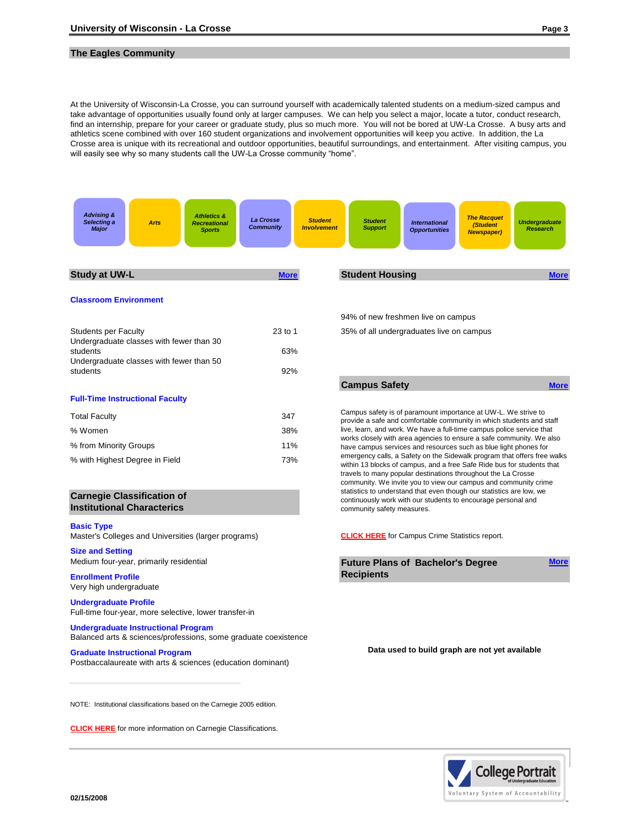## **The Eagles Community**

At the University of Wisconsin-La Crosse, you can surround yourself with academically talented students on a medium-sized campus and take advantage of opportunities usually found only at larger campuses. We can help you select a major, locate a tutor, conduct research, find an internship, prepare for your career or graduate study, plus so much more. You will not be bored at UW-La Crosse. A busy arts and athletics scene combined with over 160 student organizations and involvement opportunities will keep you active. In addition, the La Crosse area is unique with its recreational and outdoor opportunities, beautiful surroundings, and entertainment. After visiting campus, you will easily see why so many students call the UW-La Crosse community "home".



**[CLICK HERE](http://www.carnegiefoundation.org/classifications/index.asp?key=785)** [for more information on Carnegie Classifications.](http://www.carnegiefoundation.org/classifications/index.asp?key=785)

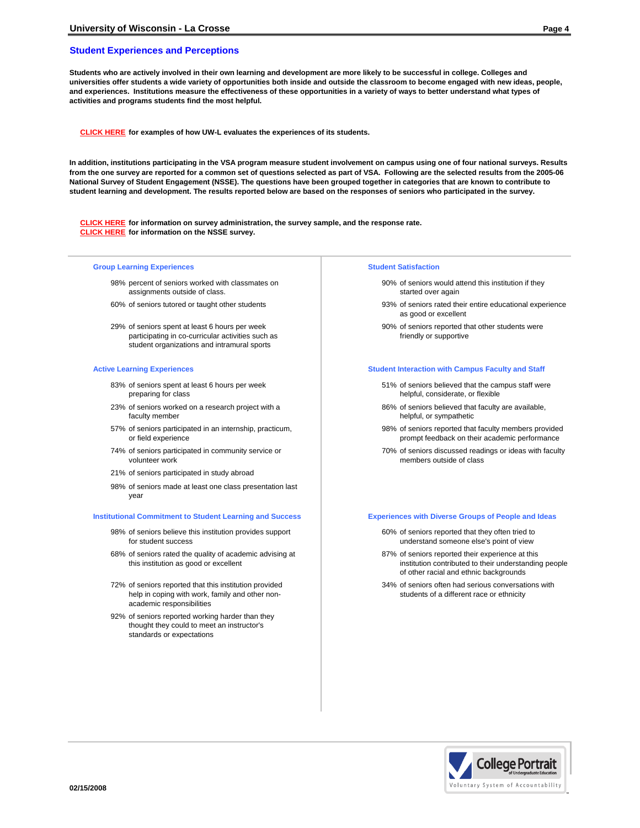## **Student Experiences and Perceptions**

**Students who are actively involved in their own learning and development are more likely to be successful in college. Colleges and universities offer students a wide variety of opportunities both inside and outside the classroom to become engaged with new ideas, people, and experiences. Institutions measure the effectiveness of these opportunities in a variety of ways to better understand what types of activities and programs students find the most helpful.**

**[CLICK HERE](http://www.uwlax.edu/provost/assessment/assess.htm) for examples of how UW-L evaluates the experiences of its students.**

**In addition, institutions participating in the VSA program measure student involvement on campus using one of four national surveys. Results from the one survey are reported for a common set of questions selected as part of VSA. Following are the selected results from the 2005-06 National Survey of Student Engagement (NSSE). The questions have been grouped together in categories that are known to contribute to student learning and development. The results reported below are based on the responses of seniors who participated in the survey.**

**[CLICK HERE](http://www.uwlax.edu/provost/assessment/nsse/nsse.htm) for information on survey administration, the survey sample, and the response rate. [CLICK HERE](http://nsse.iub.edu/html/annual_reports.cfm) for information on the NSSE survey.**

### **Group Learning Experiences Student Satisfaction**

- 98% percent of seniors worked with classmates on assignments outside of class.
- 
- 29% of seniors spent at least 6 hours per week participating in co-curricular activities such as student organizations and intramural sports

- 83% of seniors spent at least 6 hours per week preparing for class
- 23% of seniors worked on a research project with a faculty member
- 57% of seniors participated in an internship, practicum, or field experience
- 74% of seniors participated in community service or volunteer work
- 21% of seniors participated in study abroad
- 98% of seniors made at least one class presentation last year

### **Institutional Commitment to Student Learning and Success <b>Experiences with Diverse Groups of People and Ideas**

- 98% of seniors believe this institution provides support for student success
- 68% of seniors rated the quality of academic advising at this institution as good or excellent
- 72% of seniors reported that this institution provided help in coping with work, family and other nonacademic responsibilities
- 92% of seniors reported working harder than they thought they could to meet an instructor's standards or expectations

- 90% of seniors would attend this institution if they started over again
- 60% of seniors tutored or taught other students 93% of seniors rated their entire educational experience as good or excellent
	- 90% of seniors reported that other students were friendly or supportive

### **Active Learning Experiences Student Interaction with Campus Faculty and Staff**

- 51% of seniors believed that the campus staff were helpful, considerate, or flexible
- 86% of seniors believed that faculty are available, helpful, or sympathetic
- 98% of seniors reported that faculty members provided prompt feedback on their academic performance
- 70% of seniors discussed readings or ideas with faculty members outside of class

- 60% of seniors reported that they often tried to understand someone else's point of view
- 87% of seniors reported their experience at this institution contributed to their understanding people of other racial and ethnic backgrounds
- 34% of seniors often had serious conversations with students of a different race or ethnicity